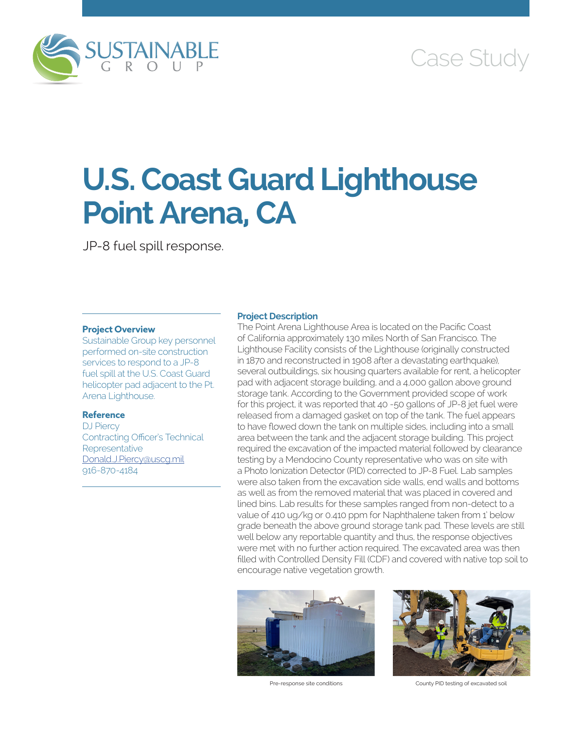

# Case Study

# **U.S. Coast Guard Lighthouse Point Arena, CA**

JP-8 fuel spill response.

# **Project Overview**

Sustainable Group key personnel performed on-site construction services to respond to a JP-8 fuel spill at the U.S. Coast Guard helicopter pad adjacent to the Pt. Arena Lighthouse.

# **Reference**

DJ Piercy Contracting Officer's Technical **Representative** [Donald.J.Piercy@uscg.mil](mailto:Donald.J.Piercy@uscg.mil) 916-870-4184

## **Project Description**

The Point Arena Lighthouse Area is located on the Pacific Coast of California approximately 130 miles North of San Francisco. The Lighthouse Facility consists of the Lighthouse (originally constructed in 1870 and reconstructed in 1908 after a devastating earthquake), several outbuildings, six housing quarters available for rent, a helicopter pad with adjacent storage building, and a 4,000 gallon above ground storage tank. According to the Government provided scope of work for this project, it was reported that 40 -50 gallons of JP-8 jet fuel were released from a damaged gasket on top of the tank. The fuel appears to have flowed down the tank on multiple sides, including into a small area between the tank and the adjacent storage building. This project required the excavation of the impacted material followed by clearance testing by a Mendocino County representative who was on site with a Photo Ionization Detector (PID) corrected to JP-8 Fuel. Lab samples were also taken from the excavation side walls, end walls and bottoms as well as from the removed material that was placed in covered and lined bins. Lab results for these samples ranged from non-detect to a value of 410 ug/kg or 0.410 ppm for Naphthalene taken from 1' below grade beneath the above ground storage tank pad. These levels are still well below any reportable quantity and thus, the response objectives were met with no further action required. The excavated area was then filled with Controlled Density Fill (CDF) and covered with native top soil to encourage native vegetation growth.





Pre-response site conditions **County PID** testing of excavated soil